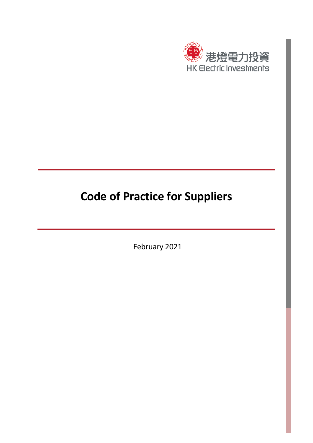

# **Code of Practice for Suppliers**

February 2021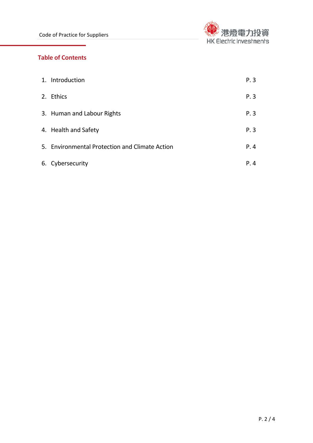

# **Table of Contents**

| 1. Introduction                                | P.3  |
|------------------------------------------------|------|
| 2. Ethics                                      | P.3  |
| 3. Human and Labour Rights                     | P.3  |
| 4. Health and Safety                           | P.3  |
| 5. Environmental Protection and Climate Action | P.4  |
| 6. Cybersecurity                               | P. 4 |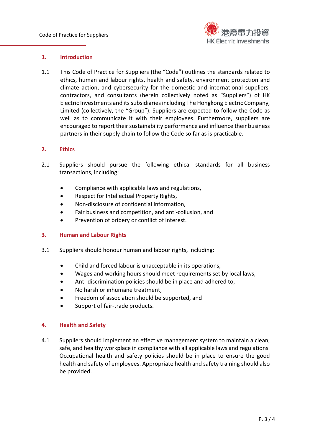

### **1. Introduction**

1.1 This Code of Practice for Suppliers (the "Code") outlines the standards related to ethics, human and labour rights, health and safety, environment protection and climate action, and cybersecurity for the domestic and international suppliers, contractors, and consultants (herein collectively noted as "Suppliers") of HK Electric Investments and its subsidiaries including The Hongkong Electric Company, Limited (collectively, the "Group"). Suppliers are expected to follow the Code as well as to communicate it with their employees. Furthermore, suppliers are encouraged to report their sustainability performance and influence their business partners in their supply chain to follow the Code so far as is practicable.

### **2. Ethics**

- 2.1 Suppliers should pursue the following ethical standards for all business transactions, including:
	- Compliance with applicable laws and regulations,
	- Respect for Intellectual Property Rights,
	- Non-disclosure of confidential information,
	- Fair business and competition, and anti-collusion, and
	- Prevention of bribery or conflict of interest.

#### **3. Human and Labour Rights**

- 3.1 Suppliers should honour human and labour rights, including:
	- Child and forced labour is unacceptable in its operations,
	- Wages and working hours should meet requirements set by local laws,
	- Anti-discrimination policies should be in place and adhered to,
	- No harsh or inhumane treatment,
	- Freedom of association should be supported, and
	- Support of fair-trade products.

#### **4. Health and Safety**

4.1 Suppliers should implement an effective management system to maintain a clean, safe, and healthy workplace in compliance with all applicable laws and regulations. Occupational health and safety policies should be in place to ensure the good health and safety of employees. Appropriate health and safety training should also be provided.